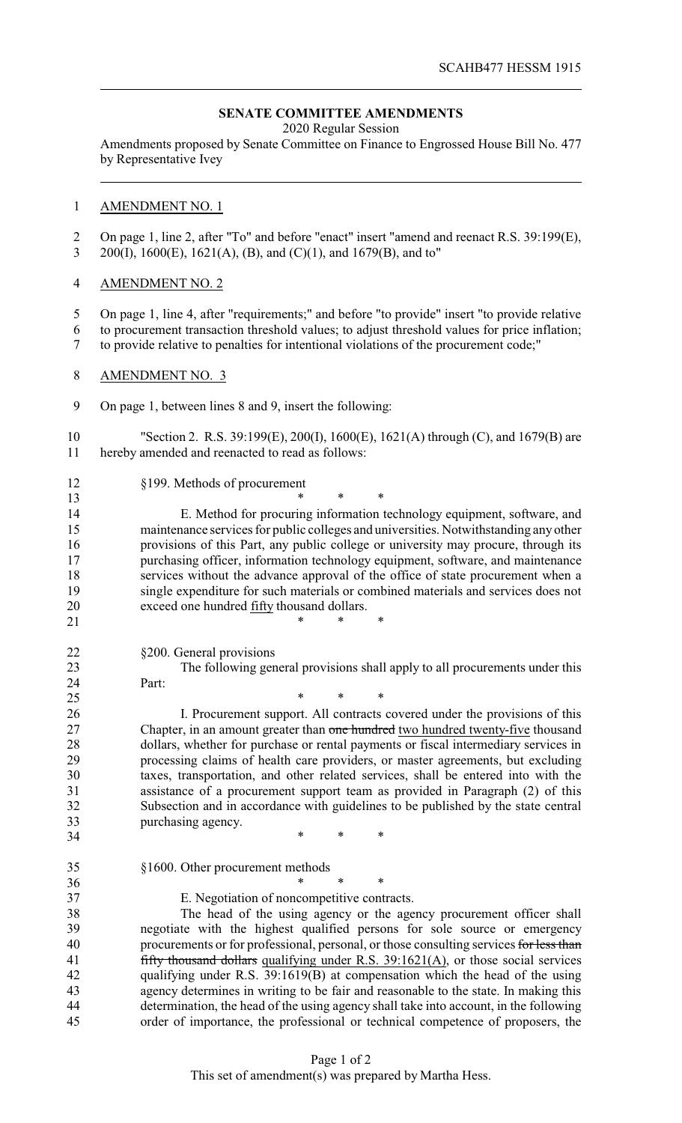## **SENATE COMMITTEE AMENDMENTS**

2020 Regular Session

Amendments proposed by Senate Committee on Finance to Engrossed House Bill No. 477 by Representative Ivey

## AMENDMENT NO. 1

 On page 1, line 2, after "To" and before "enact" insert "amend and reenact R.S. 39:199(E), 200(I), 1600(E), 1621(A), (B), and (C)(1), and 1679(B), and to"

## AMENDMENT NO. 2

 On page 1, line 4, after "requirements;" and before "to provide" insert "to provide relative to procurement transaction threshold values; to adjust threshold values for price inflation; to provide relative to penalties for intentional violations of the procurement code;"

- AMENDMENT NO. 3
- On page 1, between lines 8 and 9, insert the following:

 $*$  \* \* \*

25 \* \* \* \*

 "Section 2. R.S. 39:199(E), 200(I), 1600(E), 1621(A) through (C), and 1679(B) are hereby amended and reenacted to read as follows:

§199. Methods of procurement

 \* \* \* E. Method for procuring information technology equipment, software, and maintenance services for public colleges and universities. Notwithstanding any other provisions of this Part, any public college or university may procure, through its purchasing officer, information technology equipment, software, and maintenance services without the advance approval of the office of state procurement when a single expenditure for such materials or combined materials and services does not exceed one hundred fifty thousand dollars.

§200. General provisions

 The following general provisions shall apply to all procurements under this Part:

 I. Procurement support. All contracts covered under the provisions of this 27 Chapter, in an amount greater than one hundred two hundred twenty-five thousand dollars, whether for purchase or rental payments or fiscal intermediary services in processing claims of health care providers, or master agreements, but excluding taxes, transportation, and other related services, shall be entered into with the assistance of a procurement support team as provided in Paragraph (2) of this Subsection and in accordance with guidelines to be published by the state central purchasing agency.

\* \* \*

 §1600. Other procurement methods 36 \* \* \* \*

E. Negotiation of noncompetitive contracts.

 The head of the using agency or the agency procurement officer shall negotiate with the highest qualified persons for sole source or emergency 40 procurements or for professional, personal, or those consulting services for less than 41 fifty thousand dollars qualifying under R.S. 39:1621(A), or those social services qualifying under R.S. 39:1619(B) at compensation which the head of the using agency determines in writing to be fair and reasonable to the state. In making this determination, the head of the using agency shall take into account, in the following order of importance, the professional or technical competence of proposers, the